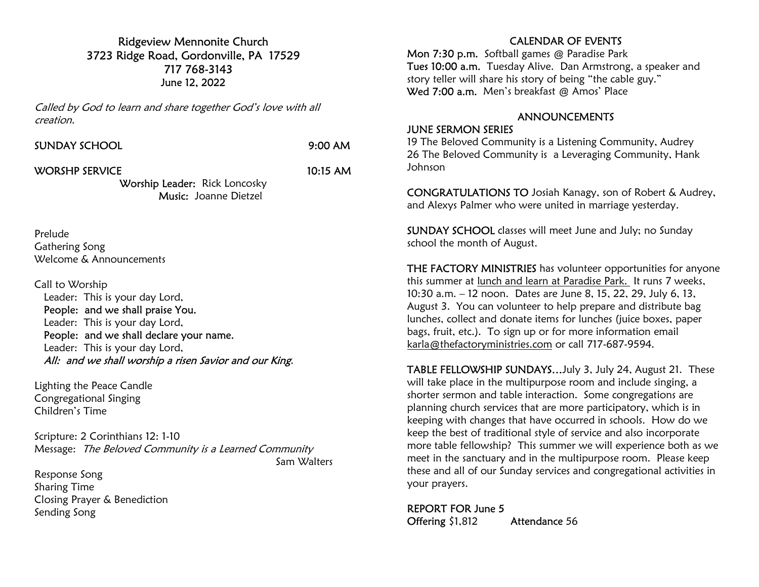## Ridgeview Mennonite Church 3723 Ridge Road, Gordonville, PA 17529 717 768-3143 June 12, 2022

Called by God to learn and share together God's love with all creation.

|  |  | <b>SUNDAY SCHOOL</b> |  |  |
|--|--|----------------------|--|--|
|  |  |                      |  |  |

 $9:00$  AM

WORSHP SERVICE 10:15 AM

Worship Leader: Rick Loncosky Music: Joanne Dietzel

Prelude Gathering Song Welcome & Announcements

Call to Worship

 Leader: This is your day Lord, People: and we shall praise You. Leader: This is your day Lord, People: and we shall declare your name. Leader: This is your day Lord, All: and we shall worship a risen Savior and our King.

Lighting the Peace Candle Congregational Singing Children's Time

Scripture: 2 Corinthians 12: 1-10 Message: The Beloved Community is a Learned Community Sam Walters

Response Song Sharing Time Closing Prayer & Benediction Sending Song

## CALENDAR OF EVENTS

Mon 7:30 p.m. Softball games @ Paradise Park Tues 10:00 a.m. Tuesday Alive. Dan Armstrong, a speaker and story teller will share his story of being "the cable guy." Wed 7:00 a.m. Men's breakfast @ Amos' Place

### ANNOUNCEMENTS

#### JUNE SERMON SERIES

19 The Beloved Community is a Listening Community, Audrey 26 The Beloved Community is a Leveraging Community, Hank Johnson

CONGRATULATIONS TO Josiah Kanagy, son of Robert & Audrey, and Alexys Palmer who were united in marriage yesterday.

SUNDAY SCHOOL classes will meet June and July; no Sunday school the month of August.

THE FACTORY MINISTRIES has volunteer opportunities for anyone this summer at lunch and learn at Paradise Park. It runs 7 weeks, 10:30 a.m. – 12 noon. Dates are June 8, 15, 22, 29, July 6, 13, August 3. You can volunteer to help prepare and distribute bag lunches, collect and donate items for lunches (juice boxes, paper bags, fruit, etc.). To sign up or for more information email karla@thefactoryministries.com or call 717-687-9594.

TABLE FELLOWSHIP SUNDAYS…July 3, July 24, August 21. These will take place in the multipurpose room and include singing, a shorter sermon and table interaction. Some congregations are planning church services that are more participatory, which is in keeping with changes that have occurred in schools. How do we keep the best of traditional style of service and also incorporate more table fellowship? This summer we will experience both as we meet in the sanctuary and in the multipurpose room. Please keep these and all of our Sunday services and congregational activities in your prayers.

REPORT FOR June 5 Offering \$1,812 Attendance 56